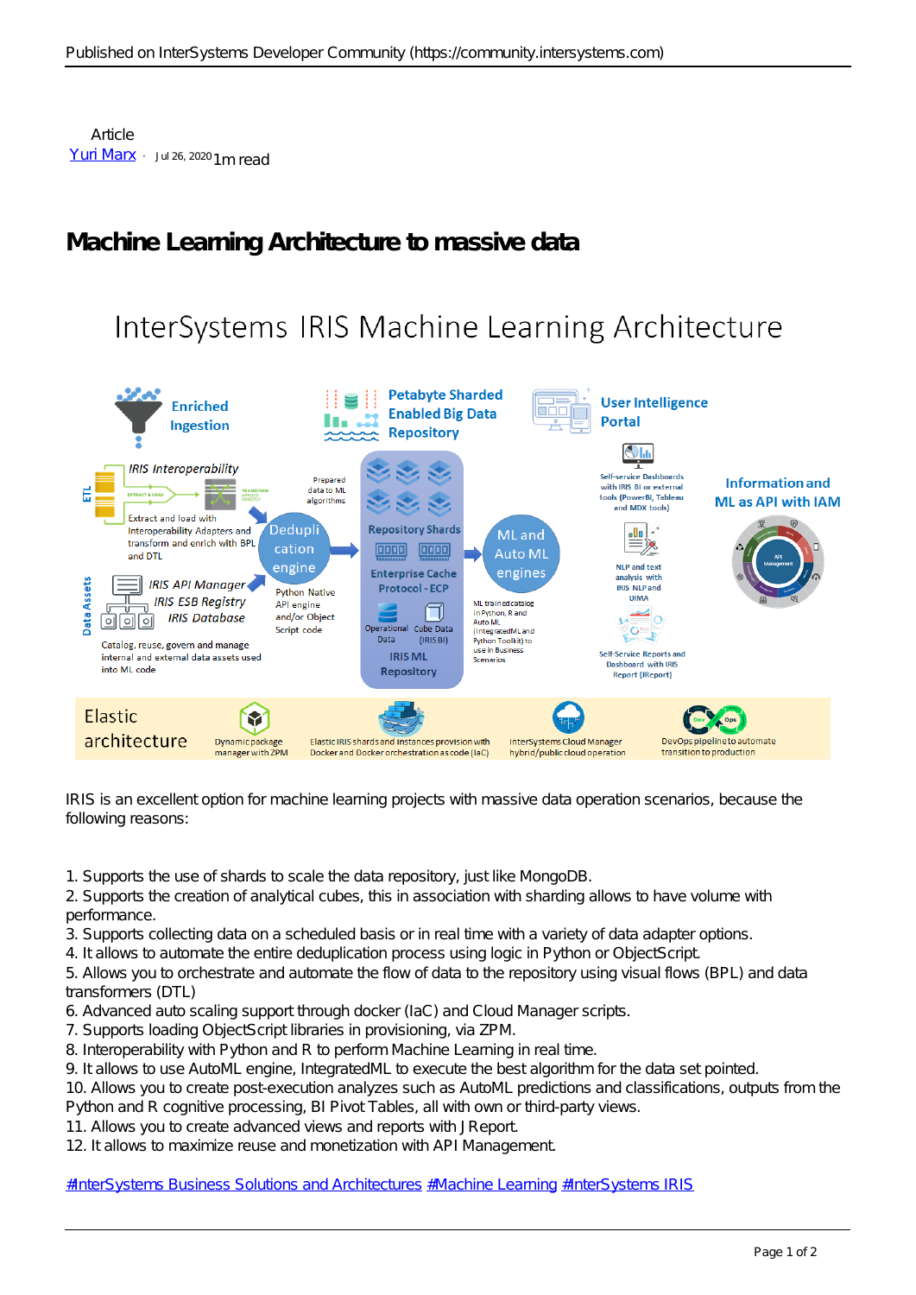## **Machine Learning Architecture to massive data**

## InterSystems IRIS Machine Learning Architecture



IRIS is an excellent option for machine learning projects with massive data operation scenarios, because the following reasons:

1. Supports the use of shards to scale the data repository, just like MongoDB.

2. Supports the creation of analytical cubes, this in association with sharding allows to have volume with performance.

3. Supports collecting data on a scheduled basis or in real time with a variety of data adapter options.

4. It allows to automate the entire deduplication process using logic in Python or ObjectScript.

5. Allows you to orchestrate and automate the flow of data to the repository using visual flows (BPL) and data transformers (DTL)

- 6. Advanced auto scaling support through docker (IaC) and Cloud Manager scripts.
- 7. Supports loading ObjectScript libraries in provisioning, via ZPM.
- 8. Interoperability with Python and R to perform Machine Learning in real time.

9. It allows to use AutoML engine, IntegratedML to execute the best algorithm for the data set pointed.

10. Allows you to create post-execution analyzes such as AutoML predictions and classifications, outputs from the Python and R cognitive processing, BI Pivot Tables, all with own or third-party views.

11. Allows you to create advanced views and reports with JReport.

12. It allows to maximize reuse and monetization with API Management.

[#InterSystems Business Solutions and Architectures](https://community.intersystems.com/tags/intersystems-business-solutions-and-architectures) [#Machine Learning](https://community.intersystems.com/tags/machine-learning) [#InterSystems IRIS](https://community.intersystems.com/tags/intersystems-iris)